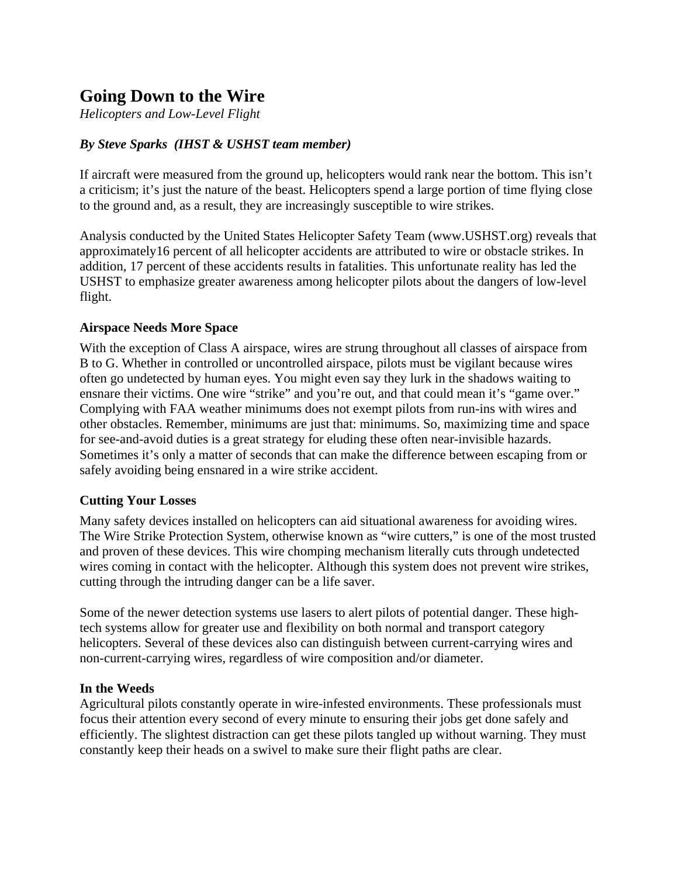# **Going Down to the Wire**

*Helicopters and Low-Level Flight* 

# *By Steve Sparks (IHST & USHST team member)*

If aircraft were measured from the ground up, helicopters would rank near the bottom. This isn't a criticism; it's just the nature of the beast. Helicopters spend a large portion of time flying close to the ground and, as a result, they are increasingly susceptible to wire strikes.

Analysis conducted by the United States Helicopter Safety Team (www.USHST.org) reveals that approximately16 percent of all helicopter accidents are attributed to wire or obstacle strikes. In addition, 17 percent of these accidents results in fatalities. This unfortunate reality has led the USHST to emphasize greater awareness among helicopter pilots about the dangers of low-level flight.

### **Airspace Needs More Space**

With the exception of Class A airspace, wires are strung throughout all classes of airspace from B to G. Whether in controlled or uncontrolled airspace, pilots must be vigilant because wires often go undetected by human eyes. You might even say they lurk in the shadows waiting to ensnare their victims. One wire "strike" and you're out, and that could mean it's "game over." Complying with FAA weather minimums does not exempt pilots from run-ins with wires and other obstacles. Remember, minimums are just that: minimums. So, maximizing time and space for see-and-avoid duties is a great strategy for eluding these often near-invisible hazards. Sometimes it's only a matter of seconds that can make the difference between escaping from or safely avoiding being ensnared in a wire strike accident.

### **Cutting Your Losses**

Many safety devices installed on helicopters can aid situational awareness for avoiding wires. The Wire Strike Protection System, otherwise known as "wire cutters," is one of the most trusted and proven of these devices. This wire chomping mechanism literally cuts through undetected wires coming in contact with the helicopter. Although this system does not prevent wire strikes, cutting through the intruding danger can be a life saver.

Some of the newer detection systems use lasers to alert pilots of potential danger. These hightech systems allow for greater use and flexibility on both normal and transport category helicopters. Several of these devices also can distinguish between current-carrying wires and non-current-carrying wires, regardless of wire composition and/or diameter.

#### **In the Weeds**

Agricultural pilots constantly operate in wire-infested environments. These professionals must focus their attention every second of every minute to ensuring their jobs get done safely and efficiently. The slightest distraction can get these pilots tangled up without warning. They must constantly keep their heads on a swivel to make sure their flight paths are clear.